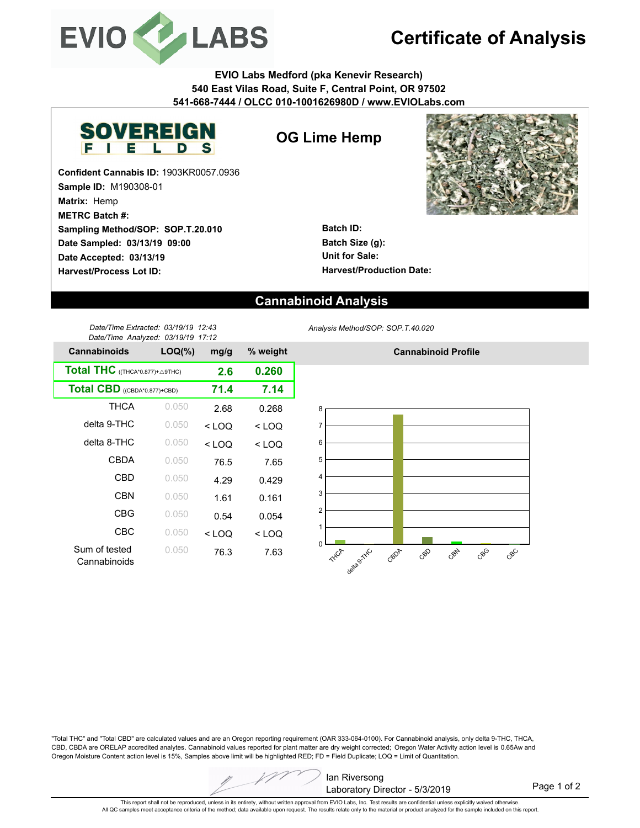

# **Certificate of Analysis**

**EVIO Labs Medford (pka Kenevir Research) 540 East Vilas Road, Suite F, Central Point, OR 97502 541-668-7444 / OLCC 010-1001626980D / www.EVIOLabs.com**



**Confident Cannabis ID:** 1903KR0057.0936 **Sample ID:** M190308-01 **Matrix:** Hemp **METRC Batch #: Sampling Method/SOP: SOP.T.20.010 Date Sampled: 03/13/19 09:00 Date Accepted: 03/13/19 Harvest/Process Lot ID:** 

*Date/Time Extracted: 03/19/19 12:43*

### **OG Lime Hemp**



**Batch ID: Batch Size (g): Unit for Sale: Harvest/Production Date:** 

### **Cannabinoid Analysis**

*Analysis Method/SOP: SOP.T.40.020*

| Date/Time Analyzed: 03/19/19 17:12 |           |         |          |
|------------------------------------|-----------|---------|----------|
| Cannabinoids                       | $LOQ(\%)$ | mg/g    | % weight |
| Total THC ((THCA*0.877)+ A9THC)    | 2.6       | 0.260   |          |
| Total CBD ((CBDA*0.877)+CBD)       | 71.4      | 7.14    |          |
| <b>THCA</b>                        | 0.050     | 2.68    | 0.268    |
| delta 9-THC                        | 0.050     | $<$ LOQ | $<$ LOQ  |
| delta 8-THC                        | 0.050     | $<$ LOQ | < LOQ    |
| CBDA                               | 0.050     | 76.5    | 7.65     |
| CBD                                | 0.050     | 4.29    | 0.429    |
| <b>CBN</b>                         | 0.050     | 1.61    | 0.161    |
| CBG                                | 0.050     | 0.54    | 0.054    |
| CBC                                | 0.050     | < 100   | < 100    |
| Sum of tested<br>Cannabinoids      | 0.050     | 76.3    | 7.63     |



**Cannabinoid Profile**

"Total THC" and "Total CBD" are calculated values and are an Oregon reporting requirement (OAR 333-064-0100). For Cannabinoid analysis, only delta 9-THC, THCA, CBD, CBDA are ORELAP accredited analytes. Cannabinoid values reported for plant matter are dry weight corrected; Oregon Water Activity action level is 0.65Aw and Oregon Moisture Content action level is 15%, Samples above limit will be highlighted RED; FD = Field Duplicate; LOQ = Limit of Quantitation.



Page 1 of 2

This report shall not be reproduced, unless in its entirety, without written approval from EVIO Labs, Inc. Test results are confidential unless explicitly waived otherwise. All QC samples meet acceptance criteria of the method; data available upon request. The results relate only to the material or product analyzed for the sample included on this report.